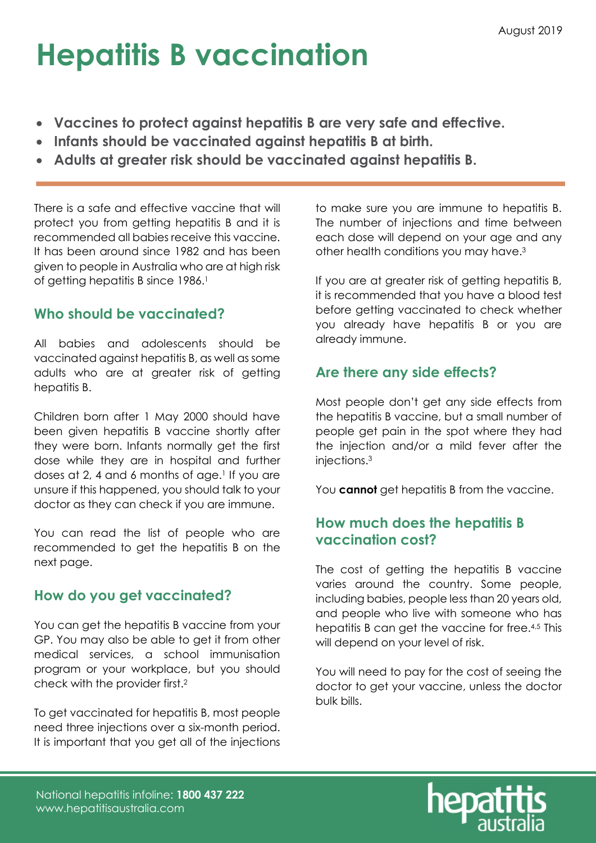## Hepatitis B vaccination

- Vaccines to protect against hepatitis B are very safe and effective.
- Infants should be vaccinated against hepatitis B at birth.
- Adults at greater risk should be vaccinated against hepatitis B.

There is a safe and effective vaccine that will protect you from getting hepatitis B and it is recommended all babies receive this vaccine. It has been around since 1982 and has been given to people in Australia who are at high risk of getting hepatitis B since 1986.<sup>1</sup>

### Who should be vaccinated?

All babies and adolescents should be vaccinated against hepatitis B, as well as some adults who are at greater risk of getting hepatitis B.

Children born after 1 May 2000 should have been given hepatitis B vaccine shortly after they were born. Infants normally get the first dose while they are in hospital and further doses at 2, 4 and 6 months of age.<sup>1</sup> If you are unsure if this happened, you should talk to your doctor as they can check if you are immune.

You can read the list of people who are recommended to get the hepatitis B on the next page.

#### How do you get vaccinated?

You can get the hepatitis B vaccine from your GP. You may also be able to get it from other medical services, a school immunisation program or your workplace, but you should check with the provider first.<sup>2</sup>

To get vaccinated for hepatitis B, most people need three injections over a six-month period. It is important that you get all of the injections

to make sure you are immune to hepatitis B. The number of injections and time between each dose will depend on your age and any other health conditions you may have.<sup>3</sup>

If you are at greater risk of getting hepatitis B, it is recommended that you have a blood test before getting vaccinated to check whether you already have hepatitis B or you are already immune.

#### Are there any side effects?

Most people don't get any side effects from the hepatitis B vaccine, but a small number of people get pain in the spot where they had the injection and/or a mild fever after the injections.<sup>3</sup>

You **cannot** get hepatitis B from the vaccine.

#### How much does the hepatitis B vaccination cost?

The cost of getting the hepatitis B vaccine varies around the country. Some people, including babies, people less than 20 years old, and people who live with someone who has hepatitis B can get the vaccine for free.<sup>4,5</sup> This will depend on your level of risk.

You will need to pay for the cost of seeing the doctor to get your vaccine, unless the doctor bulk bills.